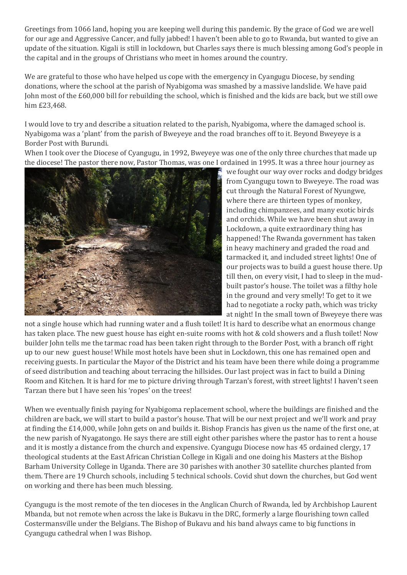Greetings from 1066 land, hoping you are keeping well during this pandemic. By the grace of God we are well for our age and Aggressive Cancer, and fully jabbed! I haven't been able to go to Rwanda, but wanted to give an update of the situation. Kigali is still in lockdown, but Charles says there is much blessing among God's people in the capital and in the groups of Christians who meet in homes around the country.

We are grateful to those who have helped us cope with the emergency in Cyangugu Diocese, by sending donations, where the school at the parish of Nyabigoma was smashed by a massive landslide. We have paid John most of the £60,000 bill for rebuilding the school, which is finished and the kids are back, but we still owe him £23,468.

I would love to try and describe a situation related to the parish, Nyabigoma, where the damaged school is. Nyabigoma was a 'plant' from the parish of Bweyeye and the road branches off to it. Beyond Bweyeye is a Border Post with Burundi.

When I took over the Diocese of Cyangugu, in 1992, Bweyeye was one of the only three churches that made up the diocese! The pastor there now, Pastor Thomas, was one I ordained in 1995. It was a three hour journey as



we fought our way over rocks and dodgy bridges from Cyangugu town to Bweyeye. The road was cut through the Natural Forest of Nyungwe, where there are thirteen types of monkey, including chimpanzees, and many exotic birds and orchids. While we have been shut away in Lockdown, a quite extraordinary thing has happened! The Rwanda government has taken in heavy machinery and graded the road and tarmacked it, and included street lights! One of our projects was to build a guest house there. Up till then, on every visit, I had to sleep in the mudbuilt pastor's house. The toilet was a filthy hole in the ground and very smelly! To get to it we had to negotiate a rocky path, which was tricky at night! In the small town of Bweyeye there was

not a single house which had running water and a flush toilet! It is hard to describe what an enormous change has taken place. The new guest house has eight en-suite rooms with hot & cold showers and a flush toilet! Now builder John tells me the tarmac road has been taken right through to the Border Post, with a branch off right up to our new guest house! While most hotels have been shut in Lockdown, this one has remained open and receiving guests. In particular the Mayor of the District and his team have been there while doing a programme of seed distribution and teaching about terracing the hillsides. Our last project was in fact to build a Dining Room and Kitchen. It is hard for me to picture driving through Tarzan's forest, with street lights! I haven't seen Tarzan there but I have seen his 'ropes' on the trees!

When we eventually finish paying for Nyabigoma replacement school, where the buildings are finished and the children are back, we will start to build a pastor's house. That will be our next project and we'll work and pray at finding the £14,000, while John gets on and builds it. Bishop Francis has given us the name of the first one, at the new parish of Nyagatongo. He says there are still eight other parishes where the pastor has to rent a house and it is mostly a distance from the church and expensive. Cyangugu Diocese now has 45 ordained clergy, 17 theological students at the East African Christian College in Kigali and one doing his Masters at the Bishop Barham University College in Uganda. There are 30 parishes with another 30 satellite churches planted from them. There are 19 Church schools, including 5 technical schools. Covid shut down the churches, but God went on working and there has been much blessing.

Cyangugu is the most remote of the ten dioceses in the Anglican Church of Rwanda, led by Archbishop Laurent Mbanda, but not remote when across the lake is Bukavu in the DRC, formerly a large flourishing town called Costermansville under the Belgians. The Bishop of Bukavu and his band always came to big functions in Cyangugu cathedral when I was Bishop.